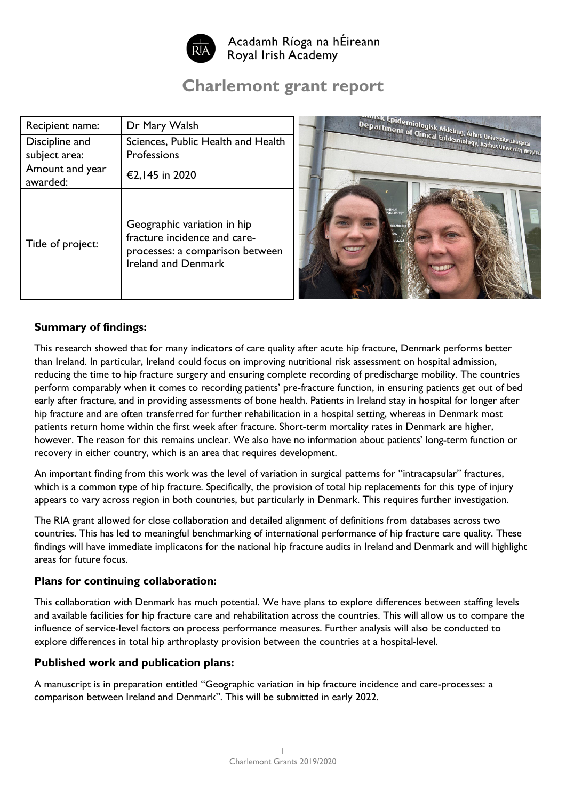

Acadamh Ríoga na hÉireann Royal Irish Academy

# **Charlemont grant report**

| Recipient name:   | Dr Mary Walsh                                                                                                                |
|-------------------|------------------------------------------------------------------------------------------------------------------------------|
| Discipline and    | Sciences, Public Health and Health                                                                                           |
| subject area:     | <b>Professions</b>                                                                                                           |
| Amount and year   | €2,145 in 2020                                                                                                               |
| awarded:          |                                                                                                                              |
| Title of project: | Geographic variation in hip<br>fracture incidence and care-<br>processes: a comparison between<br><b>Ireland and Denmark</b> |



### **Summary of findings:**

This research showed that for many indicators of care quality after acute hip fracture, Denmark performs better than Ireland. In particular, Ireland could focus on improving nutritional risk assessment on hospital admission, reducing the time to hip fracture surgery and ensuring complete recording of predischarge mobility. The countries perform comparably when it comes to recording patients' pre-fracture function, in ensuring patients get out of bed early after fracture, and in providing assessments of bone health. Patients in Ireland stay in hospital for longer after hip fracture and are often transferred for further rehabilitation in a hospital setting, whereas in Denmark most patients return home within the first week after fracture. Short-term mortality rates in Denmark are higher, however. The reason for this remains unclear. We also have no information about patients' long-term function or recovery in either country, which is an area that requires development.

An important finding from this work was the level of variation in surgical patterns for "intracapsular" fractures, which is a common type of hip fracture. Specifically, the provision of total hip replacements for this type of injury appears to vary across region in both countries, but particularly in Denmark. This requires further investigation.

The RIA grant allowed for close collaboration and detailed alignment of definitions from databases across two countries. This has led to meaningful benchmarking of international performance of hip fracture care quality. These findings will have immediate implicatons for the national hip fracture audits in Ireland and Denmark and will highlight areas for future focus.

#### **Plans for continuing collaboration:**

This collaboration with Denmark has much potential. We have plans to explore differences between staffing levels and available facilities for hip fracture care and rehabilitation across the countries. This will allow us to compare the influence of service-level factors on process performance measures. Further analysis will also be conducted to explore differences in total hip arthroplasty provision between the countries at a hospital-level.

#### **Published work and publication plans:**

A manuscript is in preparation entitled "Geographic variation in hip fracture incidence and care-processes: a comparison between Ireland and Denmark". This will be submitted in early 2022.